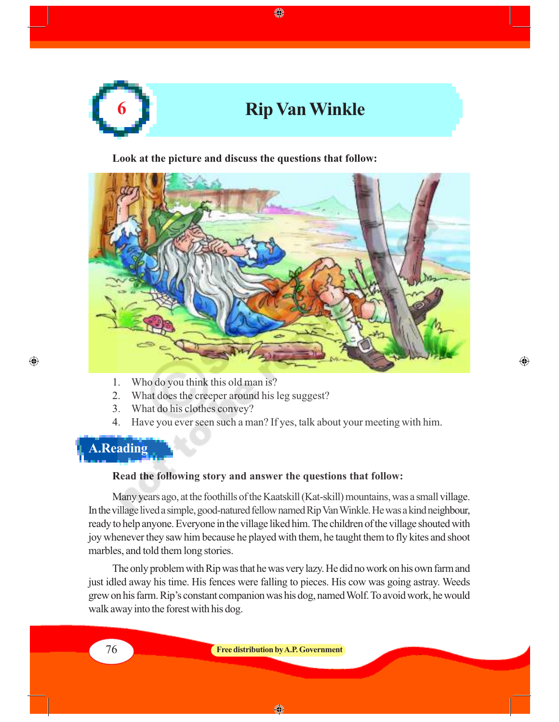

◈

**Look at the picture and discuss the questions that follow:**



- 1. Who do you think this old man is?
- 2. What does the creeper around his leg suggest?
- 3. What do his clothes convey?
- 4. Have you ever seen such a man? If yes, talk about your meeting with him.

 $\bigoplus$ 

## **A.Reading**

 $\bigoplus$ 

#### **Read the following story and answer the questions that follow:**

Many years ago, at the foothills of the Kaatskill (Kat-skill) mountains, was a small village. In the village lived a simple, good-natured fellow named Rip Van Winkle. He was a kind neighbour, ready to help anyone. Everyone in the village liked him. The children of the village shouted with joy whenever they saw him because he played with them, he taught them to fly kites and shoot marbles, and told them long stories.

The only problem with Rip was that he was very lazy. He did no work on his own farm and just idled away his time. His fences were falling to pieces. His cow was going astray. Weeds grew on his farm. Rip's constant companion was his dog, named Wolf. To avoid work, he would walk away into the forest with his dog.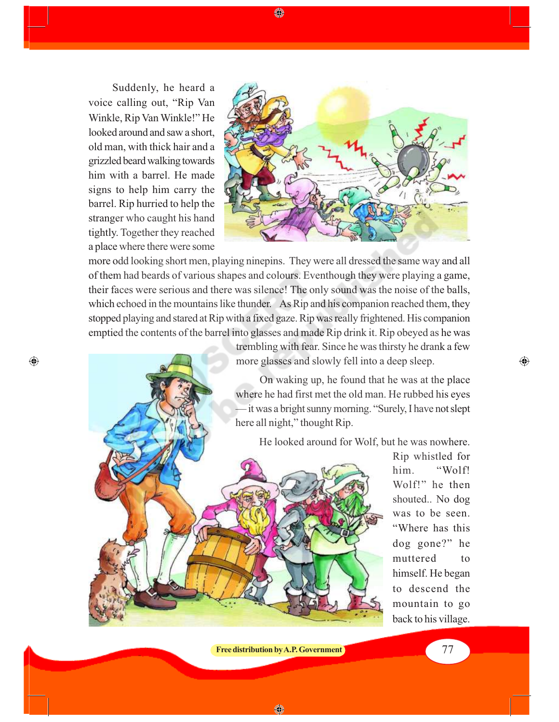Suddenly, he heard a voice calling out, "Rip Van Winkle, Rip Van Winkle!" He looked around and saw a short, old man, with thick hair and a grizzled beard walking towards him with a barrel. He made signs to help him carry the barrel. Rip hurried to help the stranger who caught his hand tightly. Together they reached a place where there were some

 $\bigoplus$ 



more odd looking short men, playing ninepins. They were all dressed the same way and all of them had beards of various shapes and colours. Eventhough they were playing a game, their faces were serious and there was silence! The only sound was the noise of the balls, which echoed in the mountains like thunder. As Rip and his companion reached them, they stopped playing and stared at Rip with a fixed gaze. Rip was really frightened. His companion emptied the contents of the barrel into glasses and made Rip drink it. Rip obeyed as he was

◈

trembling with fear. Since he was thirsty he drank a few more glasses and slowly fell into a deep sleep.

On waking up, he found that he was at the place where he had first met the old man. He rubbed his eyes it was a bright sunny morning. "Surely, I have not slept here all night," thought Rip.

He looked around for Wolf, but he was nowhere.



Rip whistled for him. "Wolf! Wolf!" he then shouted.. No dog was to be seen. "Where has this dog gone?" he muttered to himself. He began to descend the mountain to go back to his village.  $\bigoplus$ 

**Free distribution by A.P. Government Figure 1.1 (2008) 77** 

◈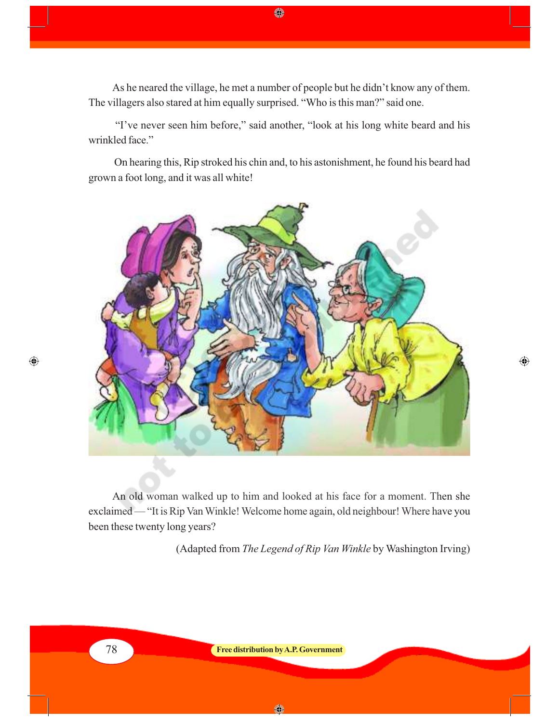As he neared the village, he met a number of people but he didn't know any of them. The villagers also stared at him equally surprised. "Who is this man?" said one.

♦

 "I've never seen him before," said another, "look at his long white beard and his wrinkled face."

 On hearing this, Rip stroked his chin and, to his astonishment, he found his beard had grown a foot long, and it was all white!



An old woman walked up to him and looked at his face for a moment. Then she exclaimed — "It is Rip Van Winkle! Welcome home again, old neighbour! Where have you been these twenty long years?

(Adapted from *The Legend of Rip Van Winkle* by Washington Irving)

 $\bigoplus$ 



 $\bigoplus$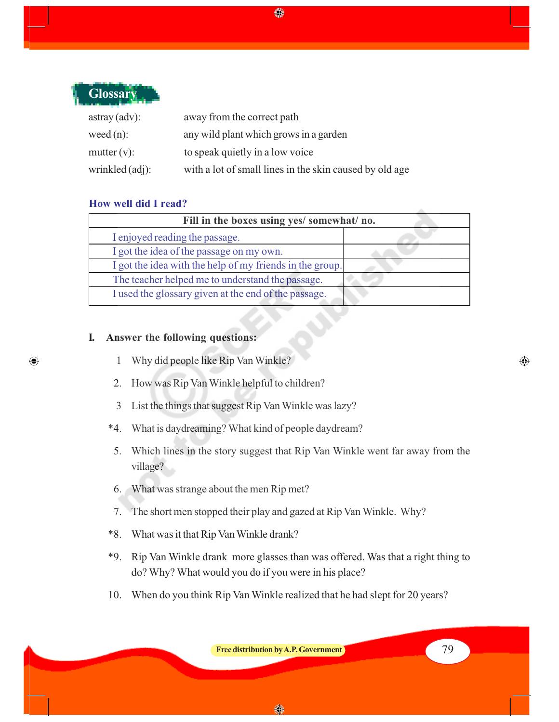

 $\bigoplus$ 

| $astray$ (adv): | away from the correct path                              |
|-----------------|---------------------------------------------------------|
| weed $(n)$ :    | any wild plant which grows in a garden                  |
| mutter $(v)$ :  | to speak quietly in a low voice                         |
| wrinkled (adj): | with a lot of small lines in the skin caused by old age |

### **How well did I read?**

| Fill in the boxes using yes/ somewhat/ no.               |  |
|----------------------------------------------------------|--|
| I enjoyed reading the passage.                           |  |
| I got the idea of the passage on my own.                 |  |
| I got the idea with the help of my friends in the group. |  |
| The teacher helped me to understand the passage.         |  |
| I used the glossary given at the end of the passage.     |  |

◈

### **I. Answer the following questions:**

- 1 Why did people like Rip Van Winkle?
- 2. How was Rip Van Winkle helpful to children?
- 3 List the things that suggest Rip Van Winkle was lazy?
- \*4. What is daydreaming? What kind of people daydream?
- 5. Which lines in the story suggest that Rip Van Winkle went far away from the village?
- 6. What was strange about the men Rip met?
- 7. The short men stopped their play and gazed at Rip Van Winkle. Why?
- \*8. What was it that Rip Van Winkle drank?
- \*9. Rip Van Winkle drank more glasses than was offered. Was that a right thing to do? Why? What would you do if you were in his place?
- 10. When do you think Rip Van Winkle realized that he had slept for 20 years?

**Free distribution by A.P. Government** 79

◈

◈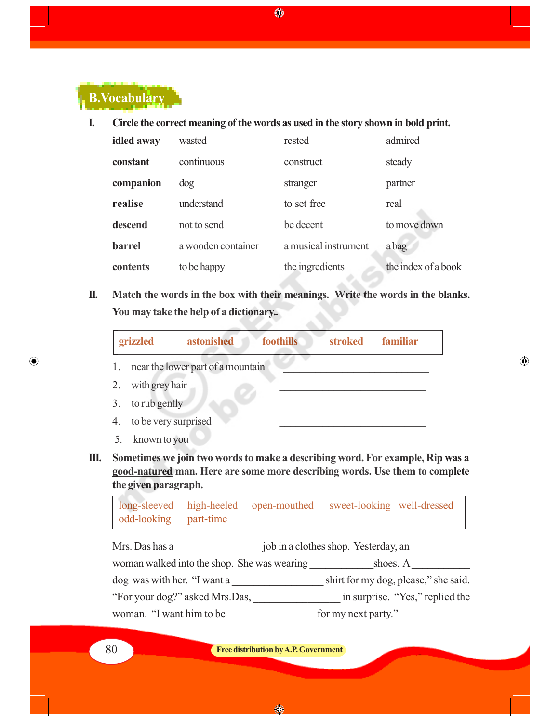

**I. Circle the correct meaning of the words as used in the story shown in bold print.**

◈

| idled away    | wasted             | rested               | admired             |
|---------------|--------------------|----------------------|---------------------|
| constant      | continuous         | construct            | steady              |
| companion     | $\log$             | stranger             | partner             |
| realise       | understand         | to set free          | real                |
| descend       | not to send        | be decent            | to move down        |
| <b>barrel</b> | a wooden container | a musical instrument | a bag               |
| contents      | to be happy        | the ingredients      | the index of a book |

**II. Match the words in the box with their meanings. Write the words in the blanks. You may take the help of a dictionary.**

|    | foothills<br>grizzled<br>astonished<br>familiar<br><b>stroked</b> |
|----|-------------------------------------------------------------------|
| 1. | near the lower part of a mountain                                 |
| 2. | with grey hair                                                    |
| 3. | to rub gently                                                     |
| 4. | to be very surprised                                              |
| 5. | known to you                                                      |

 $\bigoplus$ 

**III. Sometimes we join two words to make a describing word. For example, Rip was a good-natured man. Here are some more describing words. Use them to complete the given paragraph.**

long-sleeved high-heeled open-mouthed sweet-looking well-dressed odd-looking part-time

Mrs. Das has a \_\_\_\_\_\_\_\_\_\_\_\_\_\_\_\_ job in a clothes shop. Yesterday, an \_\_\_\_\_\_\_\_\_\_\_ woman walked into the shop. She was wearing shoes. A dog was with her. "I want a \_\_\_\_\_\_\_\_\_\_\_\_\_\_\_\_\_\_\_\_\_\_ shirt for my dog, please," she said. "For your dog?" asked Mrs.Das, \_\_\_\_\_\_\_\_\_\_\_\_\_\_\_\_ in surprise. "Yes," replied the woman. "I want him to be  $\qquad \qquad$  for my next party."

 $\bigoplus$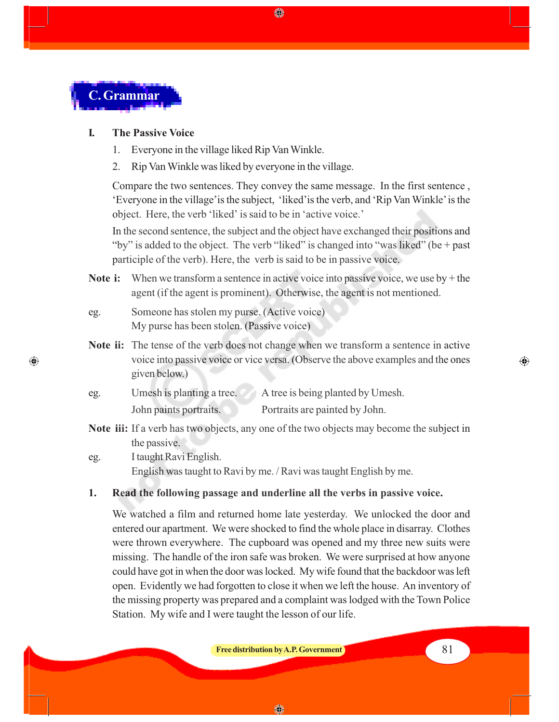

 $\bigcirc$ 

### **I. The Passive Voice**

- 1. Everyone in the village liked Rip Van Winkle.
- 2. Rip Van Winkle was liked by everyone in the village.

Compare the two sentences. They convey the same message. In the first sentence , 'Everyone in the village'is the subject, 'liked'is the verb, and 'Rip Van Winkle' is the object. Here, the verb 'liked' is said to be in 'active voice.'

◈

In the second sentence, the subject and the object have exchanged their positions and "by" is added to the object. The verb "liked" is changed into "was liked" (be  $+$  past participle of the verb). Here, the verb is said to be in passive voice.

- **Note i:** When we transform a sentence in active voice into passive voice, we use by + the agent (if the agent is prominent). Otherwise, the agent is not mentioned.
- eg. Someone has stolen my purse. (Active voice) My purse has been stolen. (Passive voice)
- **Note ii:** The tense of the verb does not change when we transform a sentence in active voice into passive voice or vice versa. (Observe the above examples and the ones given below.)

| eg. | Umesh is planting a tree. | A tree is being planted by Umesh. |
|-----|---------------------------|-----------------------------------|
|     | John paints portraits.    | Portraits are painted by John.    |

- **Note iii:** If a verb has two objects, any one of the two objects may become the subject in the passive.
- eg. I taught Ravi English. English was taught to Ravi by me. / Ravi was taught English by me.

#### **1. Read the following passage and underline all the verbs in passive voice.**

We watched a film and returned home late yesterday. We unlocked the door and entered our apartment. We were shocked to find the whole place in disarray. Clothes were thrown everywhere. The cupboard was opened and my three new suits were missing. The handle of the iron safe was broken. We were surprised at how anyone could have got in when the door was locked. My wife found that the backdoor was left open. Evidently we had forgotten to close it when we left the house. An inventory of the missing property was prepared and a complaint was lodged with the Town Police Station. My wife and I were taught the lesson of our life.

**Free distribution by A.P. Government 81** 

⊕

◈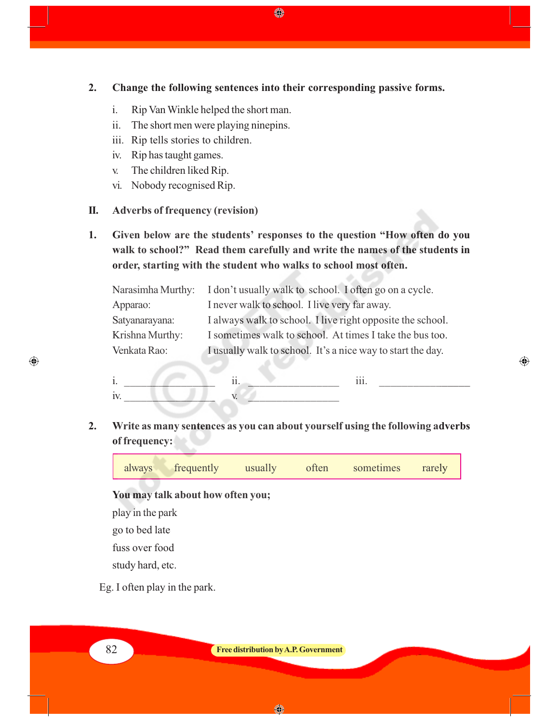**2. Change the following sentences into their corresponding passive forms.**

♦

- i. Rip Van Winkle helped the short man.
- ii. The short men were playing ninepins.
- iii. Rip tells stories to children.
- iv. Rip has taught games.
- v. The children liked Rip.
- vi. Nobody recognised Rip.

### **II. Adverbs of frequency (revision)**

**1. Given below are the students' responses to the question "How often do you walk to school?" Read them carefully and write the names of the students in order, starting with the student who walks to school most often.**

|                 | Narasimha Murthy: I don't usually walk to school. I often go on a cycle. |
|-----------------|--------------------------------------------------------------------------|
| Apparao:        | I never walk to school. I live very far away.                            |
| Satyanarayana:  | I always walk to school. I live right opposite the school.               |
| Krishna Murthy: | I sometimes walk to school. At times I take the bus too.                 |
| Venkata Rao:    | I usually walk to school. It's a nice way to start the day.              |

المراقبات

 $\bigoplus$ 

|    | $\ddot{\phantom{a}}$<br> | $\cdots$ |
|----|--------------------------|----------|
| -- |                          |          |

**2. Write as many sentences as you can about yourself using the following adverbs of frequency:**

always frequently usually often sometimes rarely

**You may talk about how often you;**

play in the park

go to bed late

fuss over food

study hard, etc.

Eg. I often play in the park.

82 **Free distribution by A.P. Government**

 $\bigoplus$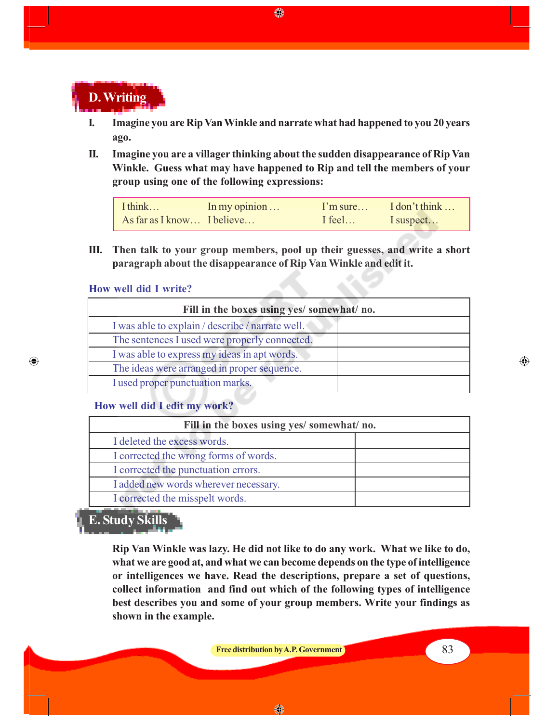

**I. Imagine you are Rip Van Winkle and narrate what had happened to you 20 years ago.**

◈

**II. Imagine you are a villager thinking about the sudden disappearance of Rip Van Winkle. Guess what may have happened to Rip and tell the members of your group using one of the following expressions:**

I think… In my opinion … I'm sure… I don't think … As far as I know... I believe... I feel... I suspect...

**III. Then talk to your group members, pool up their guesses, and write a short paragraph about the disappearance of Rip Van Winkle and edit it.**

#### **How well did I write?**

◈

| Fill in the boxes using yes/ somewhat/ no.       |  |  |
|--------------------------------------------------|--|--|
| I was able to explain / describe / narrate well. |  |  |
| The sentences I used were properly connected.    |  |  |
| I was able to express my ideas in apt words.     |  |  |
| The ideas were arranged in proper sequence.      |  |  |
| I used proper punctuation marks.                 |  |  |

### **How well did I edit my work?**

| Fill in the boxes using yes/ somewhat/ no. |  |  |
|--------------------------------------------|--|--|
| I deleted the excess words.                |  |  |
| I corrected the wrong forms of words.      |  |  |
| I corrected the punctuation errors.        |  |  |
| I added new words wherever necessary.      |  |  |
| I corrected the misspelt words.            |  |  |

### **E. Study Skills**

**Rip Van Winkle was lazy. He did not like to do any work. What we like to do, what we are good at, and what we can become depends on the type of intelligence or intelligences we have. Read the descriptions, prepare a set of questions, collect information and find out which of the following types of intelligence best describes you and some of your group members. Write your findings as shown in the example.**

**Free distribution by A.P. Government** 83

◈

⊕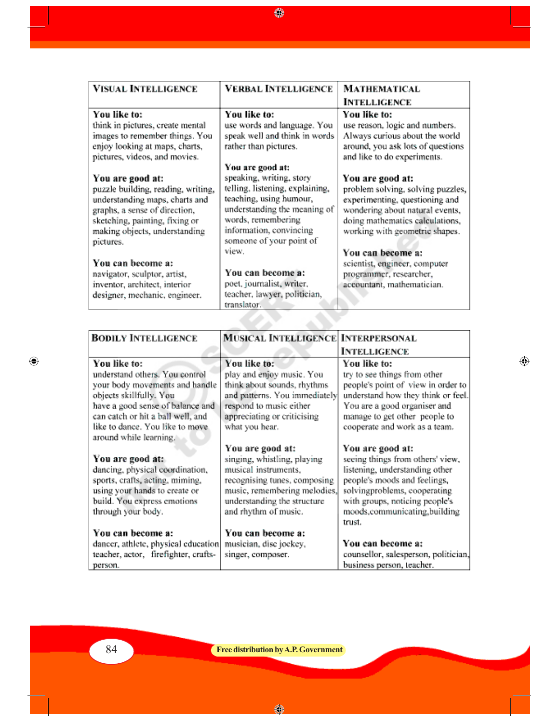**VISUAL INTELLIGENCE VERBAL INTELLIGENCE MATHEMATICAL INTELLIGENCE** You like to: You like to: You like to: think in pictures, create mental use words and language. You use reason, logic and numbers. images to remember things. You speak well and think in words Always curious about the world rather than pictures. enjoy looking at maps, charts, around, you ask lots of questions pictures, videos, and movies. and like to do experiments. You are good at: speaking, writing, story You are good at: You are good at: telling, listening, explaining, puzzle building, reading, writing, problem solving, solving puzzles, teaching, using humour, understanding maps, charts and experimenting, questioning and graphs, a sense of direction, understanding the meaning of wondering about natural events, words, remembering sketching, painting, fixing or doing mathematics calculations, information, convincing making objects, understanding working with geometric shapes. someone of your point of pictures. view. You can become a: You can become a: scientist, engineer, computer You can become a: navigator, sculptor, artist, programmer, researcher, poet, journalist, writer, inventor, architect, interior accountant, mathematician. teacher, lawyer, politician, designer, mechanic, engineer. translator.

◈

| <b>BODILY INTELLIGENCE</b>                                                                                                                                                                                                                        | MOSICAL INTELLIGENCE INTERPERSONAL                                                                                                                                                             |                                                                                                                                                                                                                                    |
|---------------------------------------------------------------------------------------------------------------------------------------------------------------------------------------------------------------------------------------------------|------------------------------------------------------------------------------------------------------------------------------------------------------------------------------------------------|------------------------------------------------------------------------------------------------------------------------------------------------------------------------------------------------------------------------------------|
|                                                                                                                                                                                                                                                   |                                                                                                                                                                                                | <b>INTELLIGENCE</b>                                                                                                                                                                                                                |
| You like to:<br>understand others. You control<br>your body movements and handle<br>objects skillfully. You<br>have a good sense of balance and<br>can catch or hit a ball well, and<br>like to dance. You like to move<br>around while learning. | You like to:<br>play and enjoy music. You<br>think about sounds, rhythms<br>and patterns. You immediately<br>respond to music either<br>appreciating or criticising<br>what you hear.          | You like to:<br>try to see things from other<br>people's point of view in order to<br>understand how they think or feel.<br>You are a good organiser and<br>manage to get other people to<br>cooperate and work as a team.         |
| You are good at:<br>dancing, physical coordination,<br>sports, crafts, acting, miming,<br>using your hands to create or<br>build. You express emotions<br>through your body.                                                                      | You are good at:<br>singing, whistling, playing<br>musical instruments,<br>recognising tunes, composing<br>music, remembering melodies,<br>understanding the structure<br>and rhythm of music. | You are good at:<br>seeing things from others' view,<br>listening, understanding other<br>people's moods and feelings,<br>solvingproblems, cooperating<br>with groups, noticing people's<br>moods,communicating,building<br>trust. |
| You can become a:<br>dancer, athlete, physical education<br>teacher, actor, firefighter, crafts-<br>person.                                                                                                                                       | You can become a:<br>musician, disc jockey,<br>singer, composer.                                                                                                                               | You can become a:<br>counsellor, salesperson, politician,<br>business person, teacher.                                                                                                                                             |

⊕

◈

 $\bigoplus$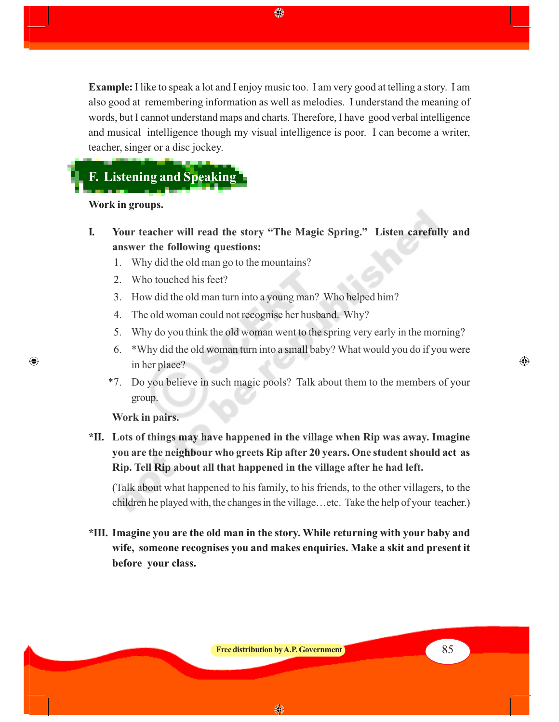**Example:** I like to speak a lot and I enjoy music too. I am very good at telling a story. I am also good at remembering information as well as melodies. I understand the meaning of words, but I cannot understand maps and charts. Therefore, I have good verbal intelligence and musical intelligence though my visual intelligence is poor. I can become a writer, teacher, singer or a disc jockey.

◈

# **F. Listening and Speaking**

**Work in groups.**

- **I. Your teacher will read the story "The Magic Spring." Listen carefully and answer the following questions:**
	- 1. Why did the old man go to the mountains?
	- 2. Who touched his feet?
	- 3. How did the old man turn into a young man? Who helped him?
	- 4. The old woman could not recognise her husband. Why?
	- 5. Why do you think the old woman went to the spring very early in the morning?
	- 6. \*Why did the old woman turn into a small baby? What would you do if you were in her place?
	- \*7. Do you believe in such magic pools? Talk about them to the members of your group.

**Work in pairs.**

 $\bigcirc$ 

**\*II. Lots of things may have happened in the village when Rip was away. Imagine you are the neighbour who greets Rip after 20 years. One student should act as Rip. Tell Rip about all that happened in the village after he had left.**

(Talk about what happened to his family, to his friends, to the other villagers, to the children he played with, the changes in the village…etc. Take the help of your teacher.)

**\*III. Imagine you are the old man in the story. While returning with your baby and wife, someone recognises you and makes enquiries. Make a skit and present it before your class.**

◈

⊕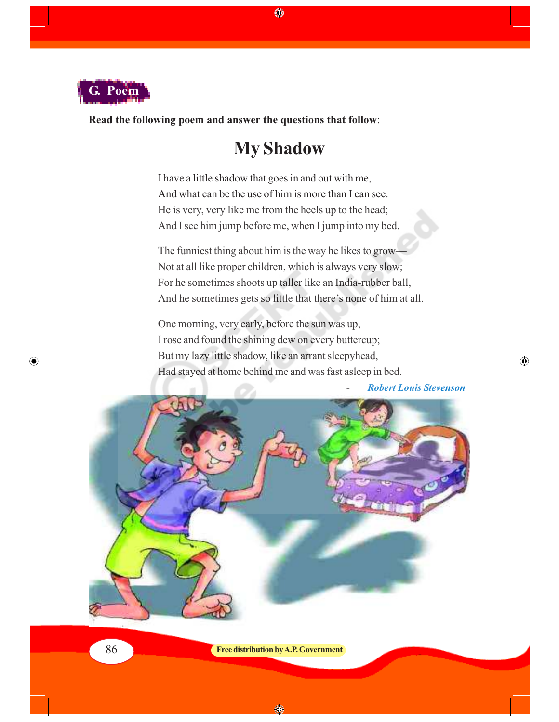

 $\bigoplus$ 

**Read the following poem and answer the questions that follow**:

### **My Shadow**

♦

I have a little shadow that goes in and out with me, And what can be the use of him is more than I can see. He is very, very like me from the heels up to the head; And I see him jump before me, when I jump into my bed.

The funniest thing about him is the way he likes to grow— Not at all like proper children, which is always very slow; For he sometimes shoots up taller like an India-rubber ball, And he sometimes gets so little that there's none of him at all.

One morning, very early, before the sun was up, I rose and found the shining dew on every buttercup; But my lazy little shadow, like an arrant sleepyhead, Had stayed at home behind me and was fast asleep in bed.

 $\bigoplus$ 



◈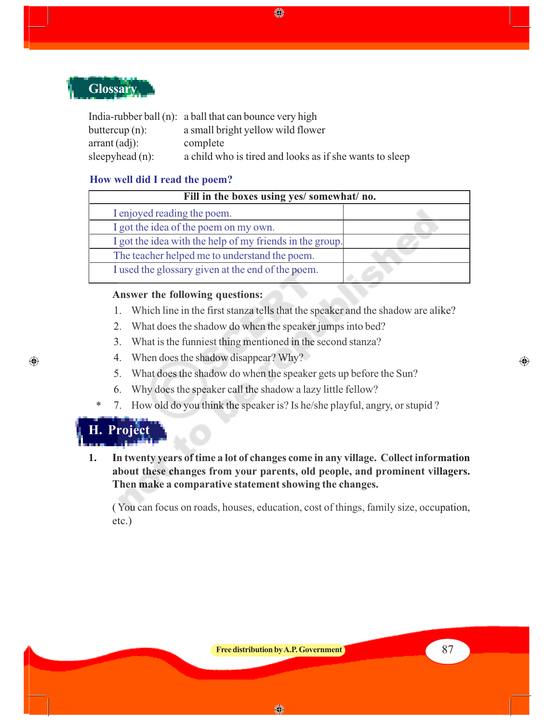

|                         | India-rubber ball (n): a ball that can bounce very high |
|-------------------------|---------------------------------------------------------|
| buttercup $(n)$ :       | a small bright yellow wild flower                       |
| $\arctan(\text{adj})$ : | complete                                                |
| sleepyhead $(n)$ :      | a child who is tired and looks as if she wants to sleep |

### **How well did I read the poem?**

| Fill in the boxes using yes/somewhat/no.                 |  |  |
|----------------------------------------------------------|--|--|
| I enjoyed reading the poem.                              |  |  |
| I got the idea of the poem on my own.                    |  |  |
| I got the idea with the help of my friends in the group. |  |  |
| The teacher helped me to understand the poem.            |  |  |
| I used the glossary given at the end of the poem.        |  |  |

### **Answer the following questions:**

1. Which line in the first stanza tells that the speaker and the shadow are alike?

⊕

- 2. What does the shadow do when the speaker jumps into bed?
- 3. What is the funniest thing mentioned in the second stanza?
- 4. When does the shadow disappear? Why?
- 5. What does the shadow do when the speaker gets up before the Sun?
- 6. Why does the speaker call the shadow a lazy little fellow?
- 7. How old do you think the speaker is? Is he/she playful, angry, or stupid ?

**H. Project**

\*

 $\bigoplus$ 

**1. In twenty years of time a lot of changes come in any village. Collect information about these changes from your parents, old people, and prominent villagers. Then make a comparative statement showing the changes.**

( You can focus on roads, houses, education, cost of things, family size, occupation, etc.)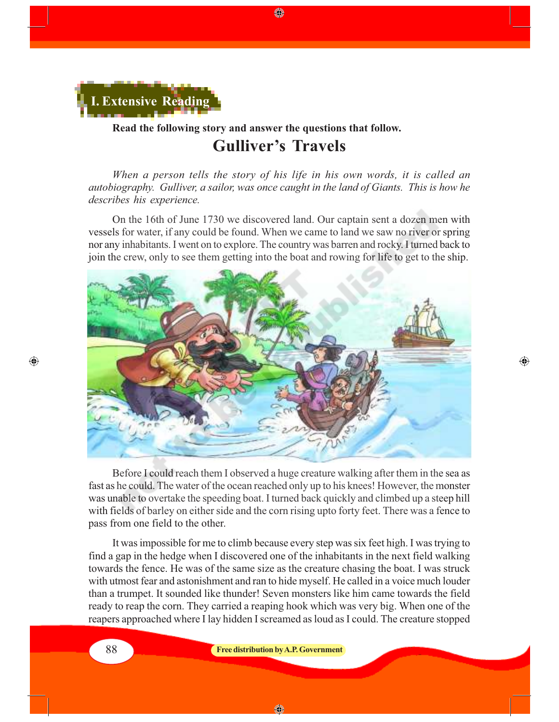

### **Read the following story and answer the questions that follow. Gulliver's Travels**

*When a person tells the story of his life in his own words, it is called an autobiography. Gulliver, a sailor, was once caught in the land of Giants. This is how he describes his experience.*

◈

On the 16th of June 1730 we discovered land. Our captain sent a dozen men with vessels for water, if any could be found. When we came to land we saw no river or spring nor any inhabitants. I went on to explore. The country was barren and rocky. I turned back to join the crew, only to see them getting into the boat and rowing for life to get to the ship.



⊕

Before I could reach them I observed a huge creature walking after them in the sea as fast as he could. The water of the ocean reached only up to his knees! However, the monster was unable to overtake the speeding boat. I turned back quickly and climbed up a steep hill with fields of barley on either side and the corn rising upto forty feet. There was a fence to pass from one field to the other.

It was impossible for me to climb because every step was six feet high. I was trying to find a gap in the hedge when I discovered one of the inhabitants in the next field walking towards the fence. He was of the same size as the creature chasing the boat. I was struck with utmost fear and astonishment and ran to hide myself. He called in a voice much louder than a trumpet. It sounded like thunder! Seven monsters like him came towards the field ready to reap the corn. They carried a reaping hook which was very big. When one of the reapers approached where I lay hidden I screamed as loud as I could. The creature stopped

◈

⊕